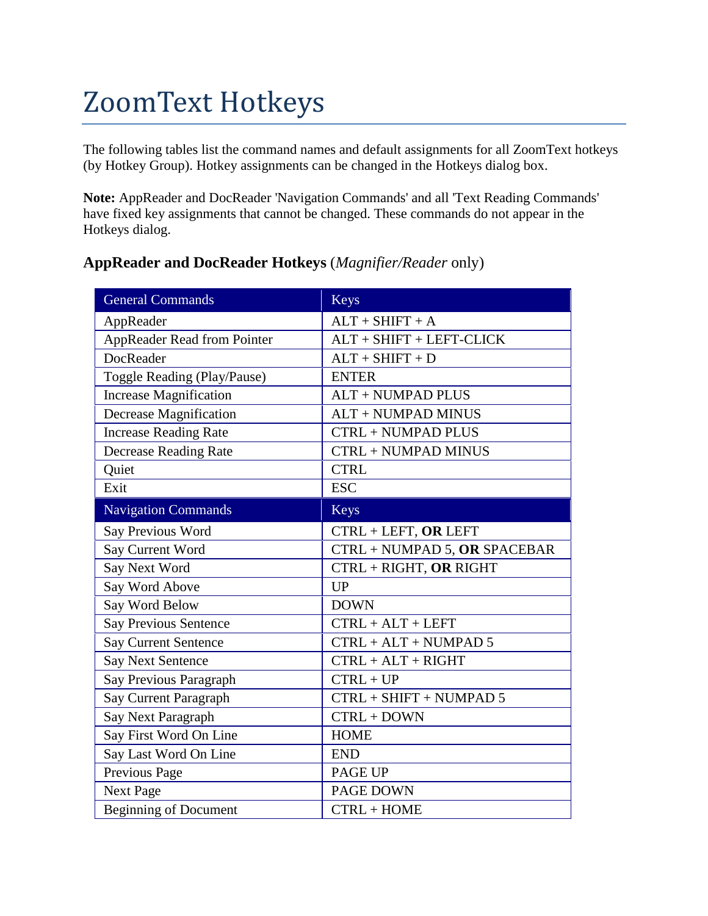# ZoomText Hotkeys

The following tables list the command names and default assignments for all ZoomText hotkeys (by Hotkey Group). Hotkey assignments can be changed in the [Hotkeys dialog box.](mk:@MSITStore:C:/Program%20Files%20(x86)/ZoomText%2010/en-us/Zt.chm::/Hotkeys_dialog.htm)

**Note:** AppReader and DocReader 'Navigation Commands' and all 'Text Reading Commands' have fixed key assignments that cannot be changed. These commands do not appear in the Hotkeys dialog.

| <b>General Commands</b>       | Keys                            |
|-------------------------------|---------------------------------|
| AppReader                     | $ALT + SHIFT + A$               |
| AppReader Read from Pointer   | ALT + SHIFT + LEFT-CLICK        |
| <b>DocReader</b>              | $ALT + SHIFT + D$               |
| Toggle Reading (Play/Pause)   | <b>ENTER</b>                    |
| <b>Increase Magnification</b> | <b>ALT + NUMPAD PLUS</b>        |
| Decrease Magnification        | <b>ALT + NUMPAD MINUS</b>       |
| <b>Increase Reading Rate</b>  | <b>CTRL + NUMPAD PLUS</b>       |
| <b>Decrease Reading Rate</b>  | <b>CTRL + NUMPAD MINUS</b>      |
| Quiet                         | <b>CTRL</b>                     |
| Exit                          | <b>ESC</b>                      |
| <b>Navigation Commands</b>    | <b>Keys</b>                     |
| Say Previous Word             | CTRL + LEFT, OR LEFT            |
| Say Current Word              | $CTRL + NUMBER 5$ , OR SPACEBAR |
| Say Next Word                 | CTRL + RIGHT, OR RIGHT          |
| Say Word Above                | <b>UP</b>                       |
| Say Word Below                | <b>DOWN</b>                     |
| <b>Say Previous Sentence</b>  | $CTRL + ALT + LEFT$             |
| <b>Say Current Sentence</b>   | $CTRL + ALT + NUMBERAD$ 5       |
| <b>Say Next Sentence</b>      | $CTRL + ALT + RIGHT$            |
| Say Previous Paragraph        | $CTRL + UP$                     |
| Say Current Paragraph         | $CTRL + SHIFT + NUMPAD 5$       |
| Say Next Paragraph            | $CTRL + DOWN$                   |
| Say First Word On Line        | <b>HOME</b>                     |
| Say Last Word On Line         | <b>END</b>                      |
| Previous Page                 | PAGE UP                         |
| <b>Next Page</b>              | PAGE DOWN                       |
| <b>Beginning of Document</b>  | $CTRL + HOME$                   |

#### **AppReader and DocReader Hotkeys** (*Magnifier/Reader* only)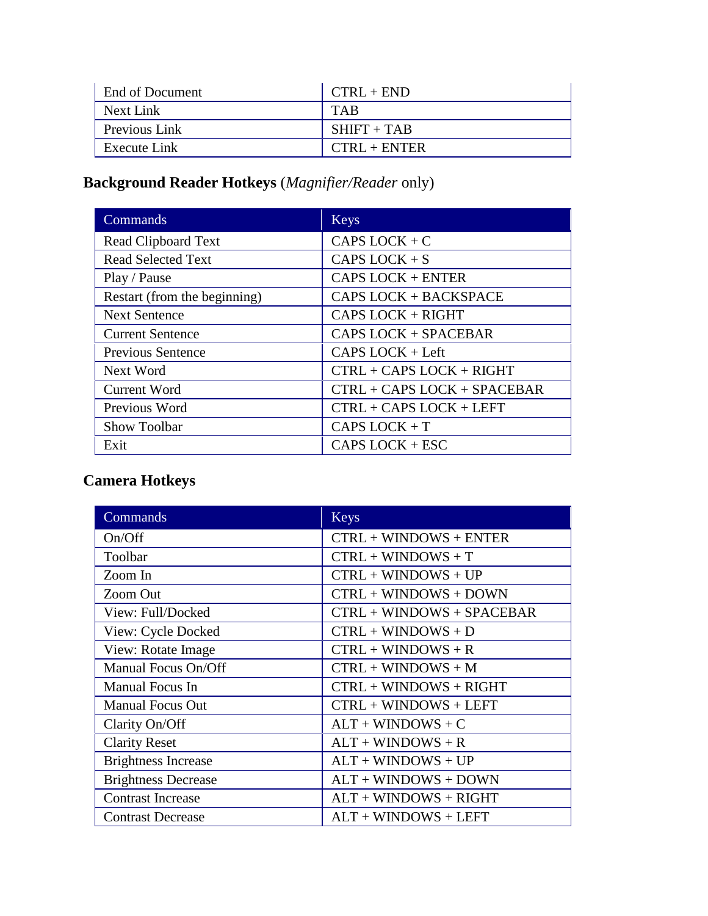| End of Document | $CTRL + END$   |
|-----------------|----------------|
| Next Link       | TAR            |
| Previous Link   | $SHIFT + TAB$  |
| Execute Link    | $CTRI + ENTER$ |

# **Background Reader Hotkeys** (*Magnifier/Reader* only)

| Commands                     | Keys                         |
|------------------------------|------------------------------|
| Read Clipboard Text          | $CAPS$ $LOCK + C$            |
| <b>Read Selected Text</b>    | CAPS LOCK $+ S$              |
| Play / Pause                 | <b>CAPS LOCK + ENTER</b>     |
| Restart (from the beginning) | <b>CAPS LOCK + BACKSPACE</b> |
| <b>Next Sentence</b>         | <b>CAPS LOCK + RIGHT</b>     |
| <b>Current Sentence</b>      | CAPS LOCK + SPACEBAR         |
| <b>Previous Sentence</b>     | $CAPS$ $LOCK$ + Left         |
| Next Word                    | CTRL + CAPS LOCK + RIGHT     |
| <b>Current Word</b>          | CTRL + CAPS LOCK + SPACEBAR  |
| Previous Word                | $CTRL + CAPS LOCK + LEFT$    |
| Show Toolbar                 | CAPS $LOCK + T$              |
| Exit                         | $CAPS$ $LOCK + ESC$          |

### **Camera Hotkeys**

| Commands                   | Keys                        |
|----------------------------|-----------------------------|
| On/Off                     | $CTRL + WINDOWS + ENTER$    |
| Toolbar                    | $CTRL + WINDOWS + T$        |
| Zoom In                    | $CTRL + WINDOWS + UP$       |
| Zoom Out                   | $CTRL + WINDOWS + DOWN$     |
| View: Full/Docked          | $CTRL + WINDOWS + SPACEBAR$ |
| View: Cycle Docked         | $CTRL + WINDOWS + D$        |
| View: Rotate Image         | $CTRL + WINDOWS + R$        |
| Manual Focus On/Off        | $CTRL + WINDOWS + M$        |
| Manual Focus In            | $CTRL + WINDOWS + RIGHT$    |
| <b>Manual Focus Out</b>    | $CTRL + WINDOWS + LEFT$     |
| Clarity On/Off             | $ALT + WINDOWS + C$         |
| <b>Clarity Reset</b>       | $ALT + WINDOWS + R$         |
| <b>Brightness Increase</b> | $ALT + WINDOWS + UP$        |
| <b>Brightness Decrease</b> | $ALT + WINDOWS + DOWN$      |
| <b>Contrast Increase</b>   | $ALT + WINDOWS + RIGHT$     |
| <b>Contrast Decrease</b>   | $ALT +$ WINDOWS + LEFT      |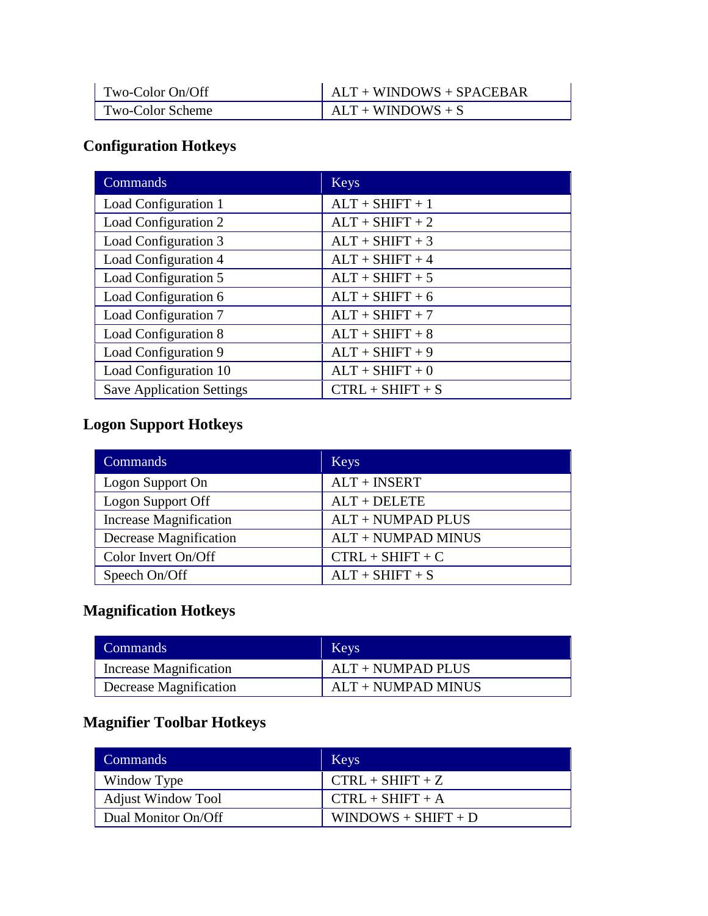| Two-Color On/Off | $ALT + WINDOWS + SPACEBAR$ |
|------------------|----------------------------|
| Two-Color Scheme | $ALT + WINDOWS + S$        |

### **Configuration Hotkeys**

| Commands                         | <b>Keys</b>        |
|----------------------------------|--------------------|
| Load Configuration 1             | $ALT + SHIFT + 1$  |
| Load Configuration 2             | $ALT + SHIFT + 2$  |
| Load Configuration 3             | $ALT + SHIFT + 3$  |
| Load Configuration 4             | $ALT + SHIFT + 4$  |
| Load Configuration 5             | $ALT + SHIFT + 5$  |
| Load Configuration 6             | $ALT + SHIFT + 6$  |
| Load Configuration 7             | $ALT + SHIFT + 7$  |
| Load Configuration 8             | $ALT + SHIFT + 8$  |
| Load Configuration 9             | $ALT + SHIFT + 9$  |
| Load Configuration 10            | $ALT + SHIFT + 0$  |
| <b>Save Application Settings</b> | $CTRL + SHIFT + S$ |

### **Logon Support Hotkeys**

| Commands                      | <b>Keys</b>               |
|-------------------------------|---------------------------|
| Logon Support On              | $ALT + INSERT$            |
| Logon Support Off             | $ALT + DELETE$            |
| <b>Increase Magnification</b> | <b>ALT + NUMPAD PLUS</b>  |
| Decrease Magnification        | <b>ALT + NUMPAD MINUS</b> |
| Color Invert On/Off           | $CTRL + SHIFT + C$        |
| Speech On/Off                 | $ALT + SHIFT + S$         |

### **Magnification Hotkeys**

| Commands               | Keys                 |
|------------------------|----------------------|
| Increase Magnification | $ALT + NUMPAD$ PLUS  |
| Decrease Magnification | $ALT + NUMPAD MINUS$ |

### **Magnifier Toolbar Hotkeys**

| Commands                  | <b>Keys</b>           |
|---------------------------|-----------------------|
| Window Type               | $CTRL + SHIFT + Z$    |
| <b>Adjust Window Tool</b> | $CTRL + SHIFT + A$    |
| Dual Monitor On/Off       | $WINDOWS + SHIFT + D$ |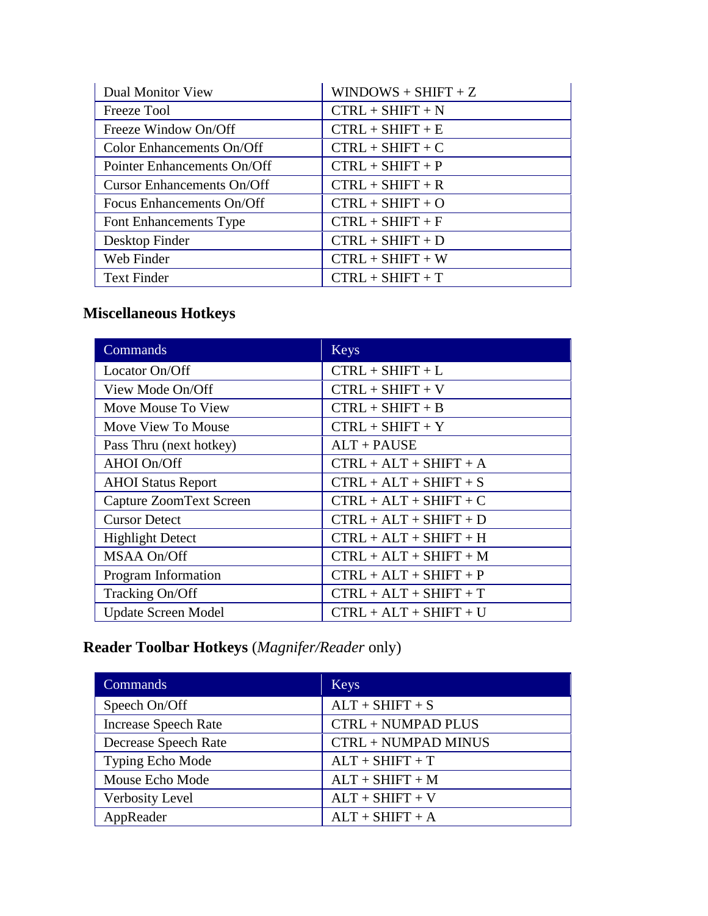| <b>Dual Monitor View</b>          | $WINDOWS + SHIFT + Z$ |
|-----------------------------------|-----------------------|
| Freeze Tool                       | $CTRL + SHIFT + N$    |
| Freeze Window On/Off              | $CTRL + SHIFT + E$    |
| Color Enhancements On/Off         | $CTRL + SHIFT + C$    |
| Pointer Enhancements On/Off       | $CTRL + SHIFT + P$    |
| <b>Cursor Enhancements On/Off</b> | $CTRL + SHIFT + R$    |
| Focus Enhancements On/Off         | $CTRL + SHIFT + O$    |
| Font Enhancements Type            | $CTRL + SHIFT + F$    |
| Desktop Finder                    | $CTRL + SHIFT + D$    |
| Web Finder                        | $CTRL + SHIFT + W$    |
| <b>Text Finder</b>                | $CTRL + SHIFT + T$    |

### **Miscellaneous Hotkeys**

| Commands                       | <b>Keys</b>              |
|--------------------------------|--------------------------|
| Locator On/Off                 | $CTRL + SHIFT + L$       |
| View Mode On/Off               | $CTRL + SHIFT + V$       |
| Move Mouse To View             | $CTRL + SHIFT + B$       |
| Move View To Mouse             | $CTRL + SHIFT + Y$       |
| Pass Thru (next hotkey)        | $ALT + PAUSE$            |
| AHOI On/Off                    | $CTRL + ALT + SHIFT + A$ |
| <b>AHOI Status Report</b>      | $CTRL + ALT + SHIFT + S$ |
| <b>Capture ZoomText Screen</b> | $CTRL + ALT + SHIFT + C$ |
| <b>Cursor Detect</b>           | $CTRL + ALT + SHIFT + D$ |
| <b>Highlight Detect</b>        | $CTRL + ALT + SHIFT + H$ |
| MSAA On/Off                    | $CTRL + ALT + SHIFT + M$ |
| Program Information            | $CTRL + ALT + SHIFT + P$ |
| Tracking On/Off                | $CTRL + ALT + SHIFT + T$ |
| <b>Update Screen Model</b>     | $CTRL + ALT + SHIFT + U$ |

# **Reader Toolbar Hotkeys** (*Magnifer/Reader* only)

| <b>Commands</b>             | <b>Keys</b>         |
|-----------------------------|---------------------|
| Speech On/Off               | $ALT + SHIFT + S$   |
| <b>Increase Speech Rate</b> | CTRL + NUMPAD PLUS  |
| Decrease Speech Rate        | CTRL + NUMPAD MINUS |
| Typing Echo Mode            | $ALT + SHIFT + T$   |
| Mouse Echo Mode             | $ALT + SHIFT + M$   |
| Verbosity Level             | $ALT + SHIFT + V$   |
| AppReader                   | $ALT + SHIFT + A$   |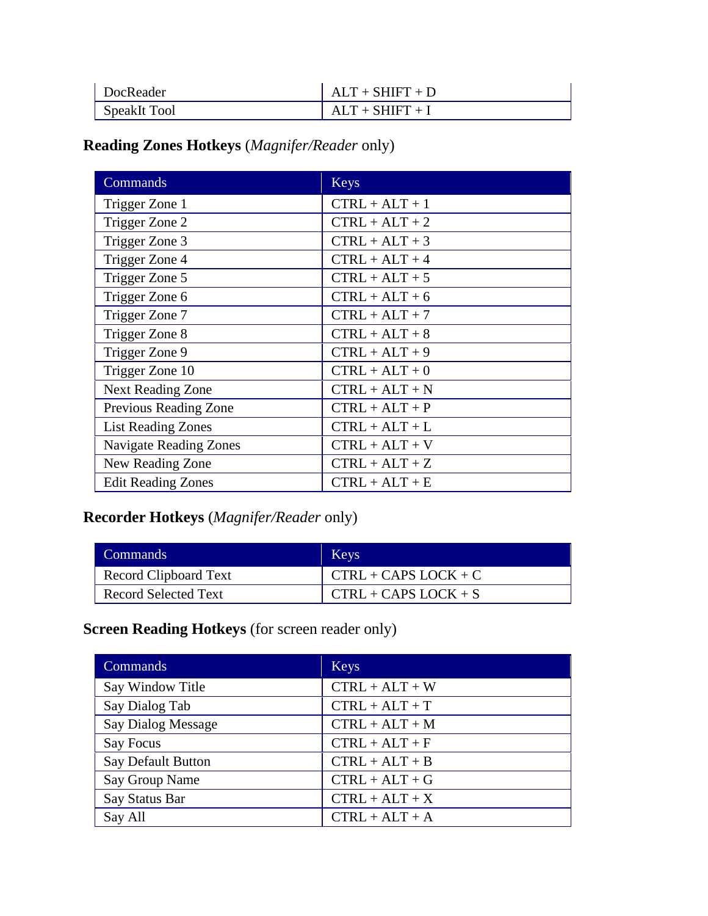| DocReader    | $ALT + SHIFT + D$ |
|--------------|-------------------|
| SpeakIt Tool | $ALT + SHIFT + I$ |

### **Reading Zones Hotkeys** (*Magnifer/Reader* only)

| Commands                      | <b>Keys</b>      |
|-------------------------------|------------------|
| Trigger Zone 1                | $CTRL + ALT + 1$ |
| Trigger Zone 2                | $CTRL + ALT + 2$ |
| Trigger Zone 3                | $CTRL + ALT + 3$ |
| Trigger Zone 4                | $CTRL + ALT + 4$ |
| Trigger Zone 5                | $CTRL + ALT + 5$ |
| Trigger Zone 6                | $CTRL + ALT + 6$ |
| Trigger Zone 7                | $CTRL + ALT + 7$ |
| Trigger Zone 8                | $CTRL + ALT + 8$ |
| Trigger Zone 9                | $CTRL + ALT + 9$ |
| Trigger Zone 10               | $CTRL + ALT + 0$ |
| <b>Next Reading Zone</b>      | $CTRL + ALT + N$ |
| Previous Reading Zone         | $CTRL + ALT + P$ |
| <b>List Reading Zones</b>     | $CTRL + ALT + L$ |
| <b>Navigate Reading Zones</b> | $CTRL + ALT + V$ |
| New Reading Zone              | $CTRL + ALT + Z$ |
| <b>Edit Reading Zones</b>     | $CTRL + ALT + E$ |

### **Recorder Hotkeys** (*Magnifer/Reader* only)

| Commands                    | <b>Keys</b>            |
|-----------------------------|------------------------|
| Record Clipboard Text       | $CTRL + CAPS LOCK + C$ |
| <b>Record Selected Text</b> | $CTRL + CAPS LOCK + S$ |

### **Screen Reading Hotkeys** (for screen reader only)

| Commands                  | <b>Keys</b>      |
|---------------------------|------------------|
| Say Window Title          | $CTRL + ALT + W$ |
| Say Dialog Tab            | $CTRL + ALT + T$ |
| <b>Say Dialog Message</b> | $CTRL + ALT + M$ |
| Say Focus                 | $CTRL + ALT + F$ |
| <b>Say Default Button</b> | $CTRL + ALT + B$ |
| Say Group Name            | $CTRL + ALT + G$ |
| Say Status Bar            | $CTRL + ALT + X$ |
| Say All                   | $CTRL + ALT + A$ |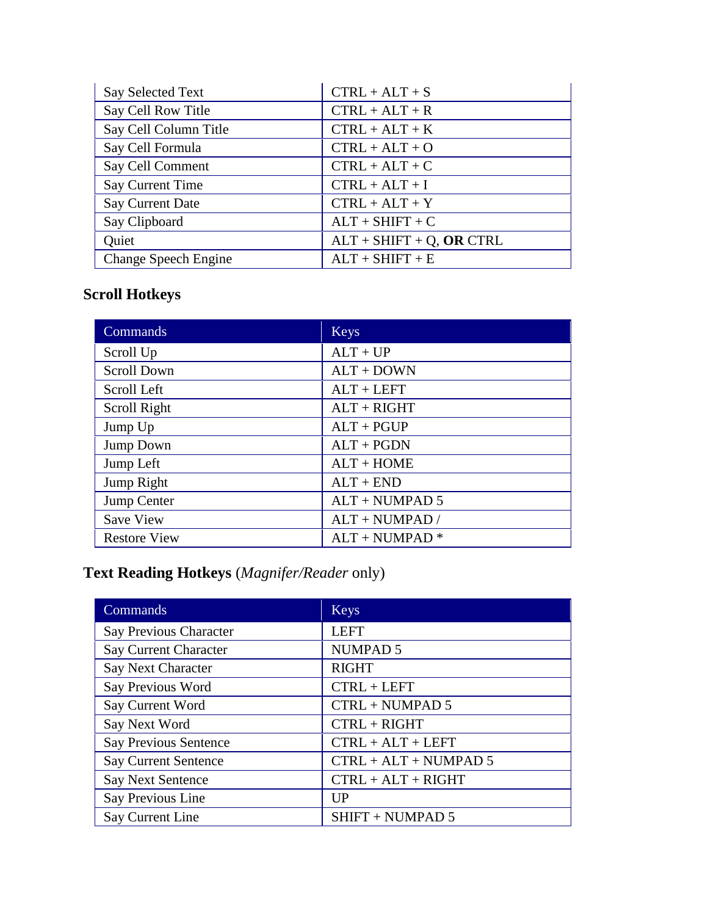| <b>Say Selected Text</b> | $CTRL + ALT + S$            |
|--------------------------|-----------------------------|
| Say Cell Row Title       | $CTRL + ALT + R$            |
| Say Cell Column Title    | $CTRL + ALT + K$            |
| Say Cell Formula         | $CTRL + ALT + O$            |
| Say Cell Comment         | $CTRL + ALT + C$            |
| Say Current Time         | $CTRL + ALT + I$            |
| <b>Say Current Date</b>  | $CTRL + ALT + Y$            |
| Say Clipboard            | $ALT + SHIFT + C$           |
| Quiet                    | $ALT + SHIFT + Q$ , OR CTRL |
| Change Speech Engine     | $ALT + SHIFT + E$           |

### **Scroll Hotkeys**

| Commands            | <b>Keys</b>      |
|---------------------|------------------|
| Scroll Up           | $ALT + UP$       |
| <b>Scroll Down</b>  | $ALT + DOWN$     |
| Scroll Left         | $ALT + LEFT$     |
| Scroll Right        | $ALT + RIGHT$    |
| Jump Up             | $ALT + PGUP$     |
| Jump Down           | $ALT + PGDN$     |
| Jump Left           | $ALT + HOME$     |
| Jump Right          | $ALT + END$      |
| Jump Center         | $ALT + NUMBER 5$ |
| <b>Save View</b>    | $ALT + NUMPAD /$ |
| <b>Restore View</b> | $ALT + NUMBER +$ |

### **Text Reading Hotkeys** (*Magnifer/Reader* only)

| Commands                      | <b>Keys</b>            |
|-------------------------------|------------------------|
| <b>Say Previous Character</b> | <b>LEFT</b>            |
| Say Current Character         | <b>NUMPAD5</b>         |
| Say Next Character            | <b>RIGHT</b>           |
| Say Previous Word             | $CTRL + LEFT$          |
| Say Current Word              | $CTRL + NUMBER 5$      |
| Say Next Word                 | $CTRL + RIGHT$         |
| <b>Say Previous Sentence</b>  | $CTRL + ALT + LEFT$    |
| <b>Say Current Sentence</b>   | $CTRL + ALT + NUMBERA$ |
| <b>Say Next Sentence</b>      | $CTRL + ALT + RIGHT$   |
| Say Previous Line             | UP                     |
| Say Current Line              | SHIFT + NUMPAD 5       |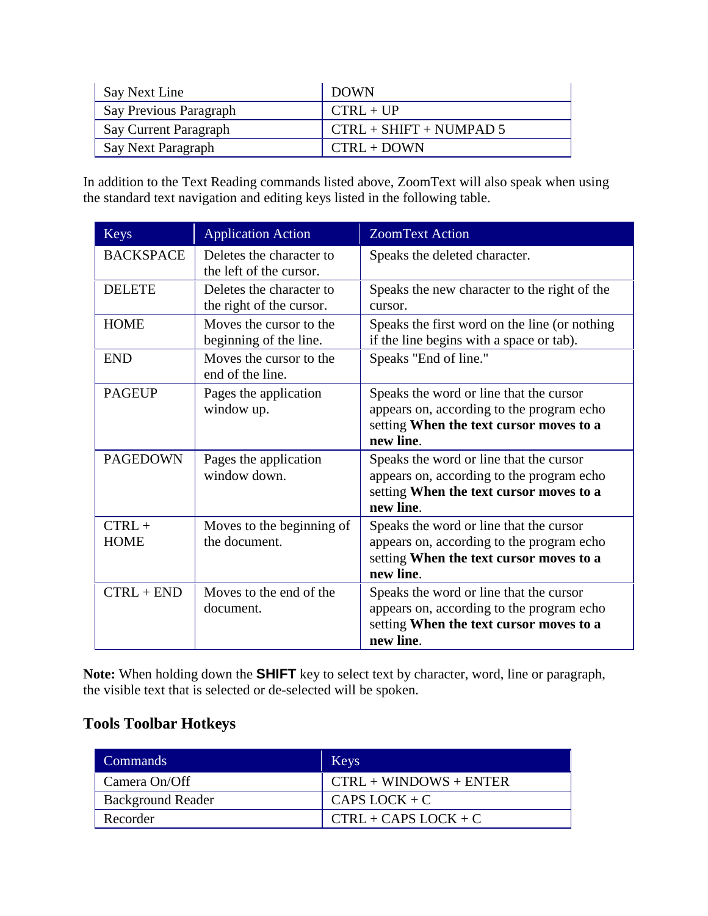| Say Next Line          | <b>DOWN</b>               |
|------------------------|---------------------------|
| Say Previous Paragraph | $CTRL + UP$               |
| Say Current Paragraph  | $CTRL + SHIFT + NUMPAD 5$ |
| Say Next Paragraph     | $CTRL + DOWN$             |

In addition to the Text Reading commands listed above, ZoomText will also speak when using the standard text navigation and editing keys listed in the following table.

| <b>Keys</b>             | <b>Application Action</b>                            | <b>ZoomText Action</b>                                                                                                                       |
|-------------------------|------------------------------------------------------|----------------------------------------------------------------------------------------------------------------------------------------------|
| <b>BACKSPACE</b>        | Deletes the character to<br>the left of the cursor.  | Speaks the deleted character.                                                                                                                |
| <b>DELETE</b>           | Deletes the character to<br>the right of the cursor. | Speaks the new character to the right of the<br>cursor.                                                                                      |
| <b>HOME</b>             | Moves the cursor to the<br>beginning of the line.    | Speaks the first word on the line (or nothing<br>if the line begins with a space or tab).                                                    |
| <b>END</b>              | Moves the cursor to the<br>end of the line.          | Speaks "End of line."                                                                                                                        |
| <b>PAGEUP</b>           | Pages the application<br>window up.                  | Speaks the word or line that the cursor<br>appears on, according to the program echo<br>setting When the text cursor moves to a<br>new line. |
| <b>PAGEDOWN</b>         | Pages the application<br>window down.                | Speaks the word or line that the cursor<br>appears on, according to the program echo<br>setting When the text cursor moves to a<br>new line. |
| $CTRL +$<br><b>HOME</b> | Moves to the beginning of<br>the document.           | Speaks the word or line that the cursor<br>appears on, according to the program echo<br>setting When the text cursor moves to a<br>new line. |
| $CTRL + END$            | Moves to the end of the<br>document.                 | Speaks the word or line that the cursor<br>appears on, according to the program echo<br>setting When the text cursor moves to a<br>new line. |

**Note:** When holding down the **SHIFT** key to select text by character, word, line or paragraph, the visible text that is selected or de-selected will be spoken.

#### **Tools Toolbar Hotkeys**

| Commands                 | Keys                     |
|--------------------------|--------------------------|
| Camera On/Off            | $CTRL + WINDOWS + ENTER$ |
| <b>Background Reader</b> | CAPS LOCK $+ C$          |
| Recorder                 | $CTRL + CAPS LOCK + C$   |